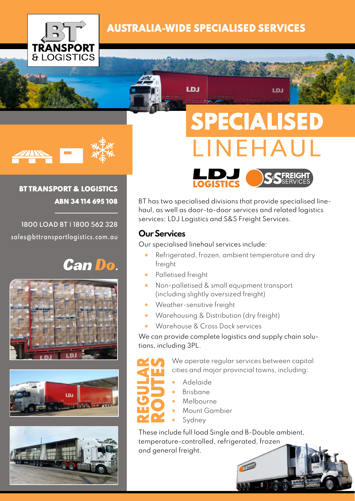

## AUSTRALIA-WIDE SPECIALISED SERVICES

LDJ



## BT TRANSPORT & LOGISTICS ABN 34 114 695 108

**1800 LOAD BT | 1800 562 328 sales@bttransportlogistics.com.au**

# **Can Do.**







SPECIALISED LINEHAUL

LDJ



BT has two specialised divisions that provide specialised linehaul, as well as door-to-door services and related logistics services: LDJ Logistics and S&S Freight Services.

## **Our Services**

Our specialised linehaul services include:

- Refrigerated, frozen, ambient temperature and dry freight
- Palletised freight
- Non-palletised & small equipment transport (including slightly oversized freight)
- Weather-sensitive freight
- Warehousing & Distribution (dry freight)
- Warehouse & Cross Dock services

We can provide complete logistics and supply chain solutions, including 3PL.



We operate regular services between capital cities and major provincial towns, including:

- Adelaide
- Brisbane
- Melbourne
- Mount Gambier
- **Sydney**

These include full load Single and B-Double ambient, temperature-controlled, refrigerated, frozen